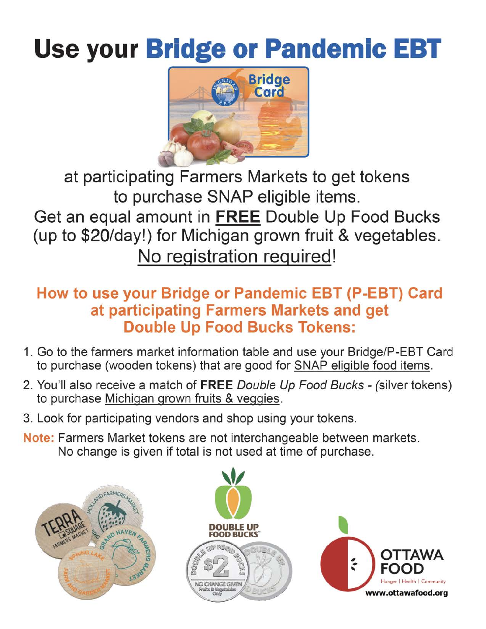## Use your **Bridge or Pandemic EBT**



at participating Farmers Markets to get tokens to purchase SNAP eligible items. Get an equal amount in **FREE** Double Up Food Bucks (up to \$20/day!) for Michigan grown fruit & vegetables. No registration required!

## **How to use your Bridge or Pandemic EBT {P-EBT) Card at participating Farmers Markets and get Double Up Food Bucks Tokens:**

- 1. Go to the farmers market information table and use your Bridge/P-EBT Card to purchase (wooden tokens) that are good for **SNAP** eligible food items.
- 2. You'll also receive a match of **FREE** Double Up Food Bucks (silver tokens) to purchase Michigan grown fruits & veggies.
- 3. Look for participating vendors and shop using your tokens.
- **Note:** Farmers Market tokens are not interchangeable between markets. No change is given if total is not used at time of purchase.